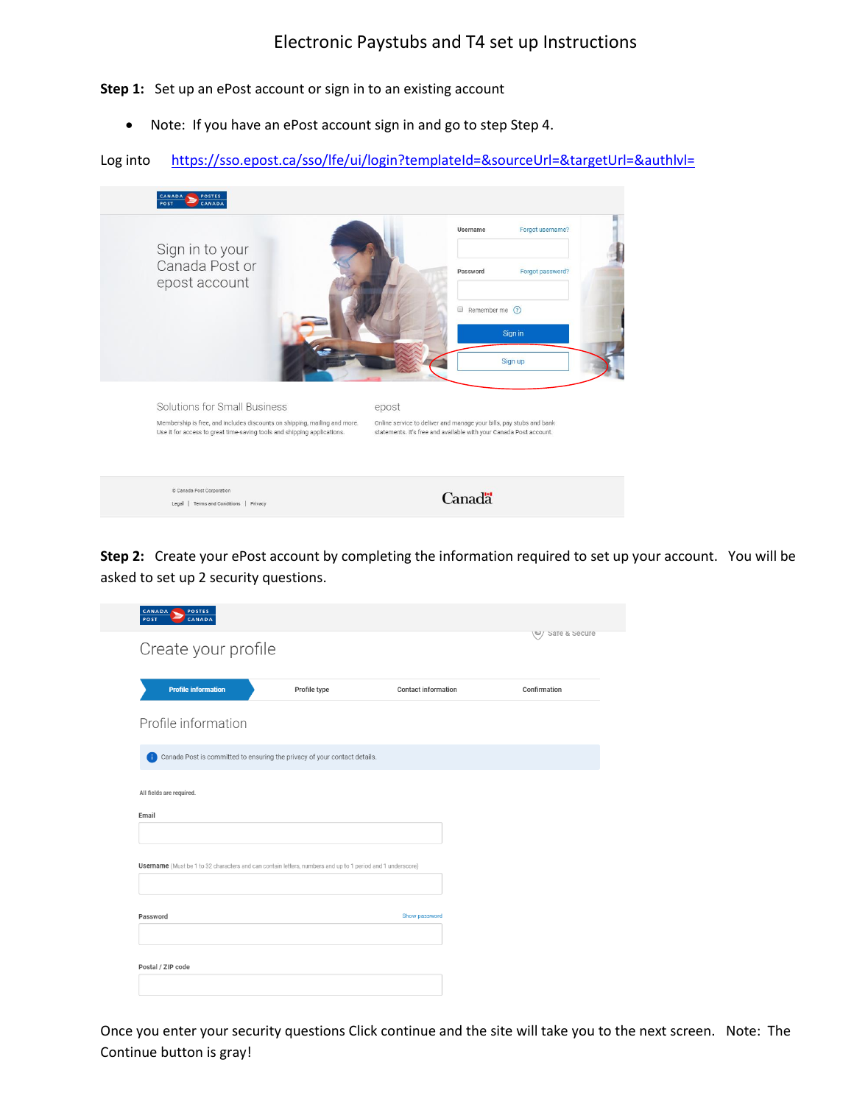**Step 1:** Set up an ePost account or sign in to an existing account

• Note: If you have an ePost account sign in and go to step Step 4.

Log into https://sso.epost.ca/sso/lfe/ui/login?templateId=&sourceUrl=&targetUrl=&authlvl=



**Step 2:** Create your ePost account by completing the information required to set up your account. You will be asked to set up 2 security questions.

| <b>CANADA</b><br>POSTES<br>POST<br>CANADA                                                                  |              |                            |                 |
|------------------------------------------------------------------------------------------------------------|--------------|----------------------------|-----------------|
| Create your profile                                                                                        |              |                            | V Sare & Secure |
| <b>Profile information</b>                                                                                 | Profile type | <b>Contact information</b> | Confirmation    |
| Profile information                                                                                        |              |                            |                 |
| Canada Post is committed to ensuring the privacy of your contact details.<br>Œ                             |              |                            |                 |
| All fields are required.<br>Email                                                                          |              |                            |                 |
| Username (Must be 1 to 32 characters and can contain letters, numbers and up to 1 period and 1 underscore) |              |                            |                 |
| Password                                                                                                   |              | Show password              |                 |
|                                                                                                            |              |                            |                 |

Once you enter your security questions Click continue and the site will take you to the next screen. Note: The Continue button is gray!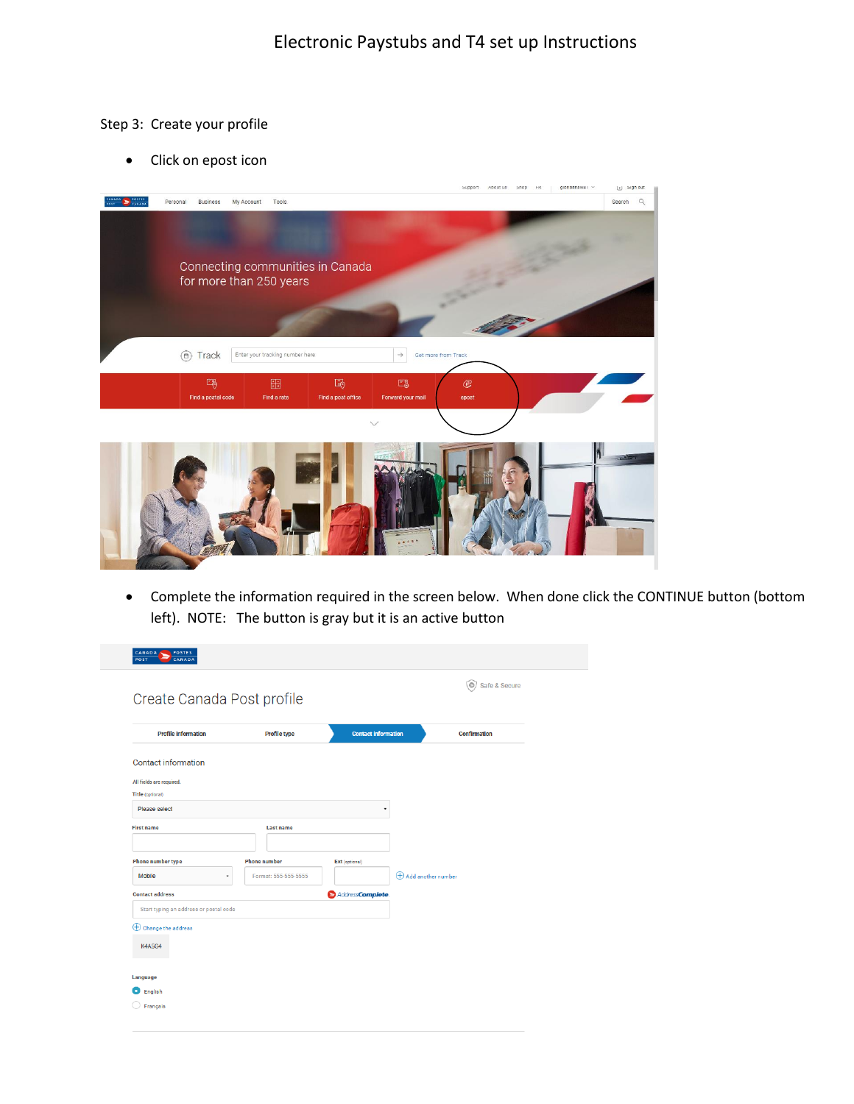## Step 3: Create your profile

• Click on epost icon



• Complete the information required in the screen below. When done click the CONTINUE button (bottom left). NOTE: The button is gray but it is an active button

| <b>CANADA</b><br>POSTES<br>POST<br>CANADA |                      |                            |                        |               |
|-------------------------------------------|----------------------|----------------------------|------------------------|---------------|
| Create Canada Post profile                |                      |                            |                        | Safe & Secure |
| <b>Profile information</b>                | Profile type         | <b>Contact information</b> |                        | Confirmation  |
| <b>Contact information</b>                |                      |                            |                        |               |
| All fields are required.                  |                      |                            |                        |               |
| Title (optional)                          |                      |                            |                        |               |
| Please select                             |                      | ٠                          |                        |               |
| <b>First name</b>                         | Last name            |                            |                        |               |
| <b>Phone number type</b>                  | <b>Phone number</b>  | Ext (optional)             |                        |               |
| <b>Mobile</b><br>٠                        | Format: 555-555-5555 |                            | (+) Add another number |               |
| <b>Contact address</b>                    |                      | AddressComplete.           |                        |               |
| Start typing an address or postal code    |                      |                            |                        |               |
| $\bigoplus$ Change the address            |                      |                            |                        |               |
| <b>K4A5G4</b>                             |                      |                            |                        |               |
| Language                                  |                      |                            |                        |               |
| English                                   |                      |                            |                        |               |
| Français                                  |                      |                            |                        |               |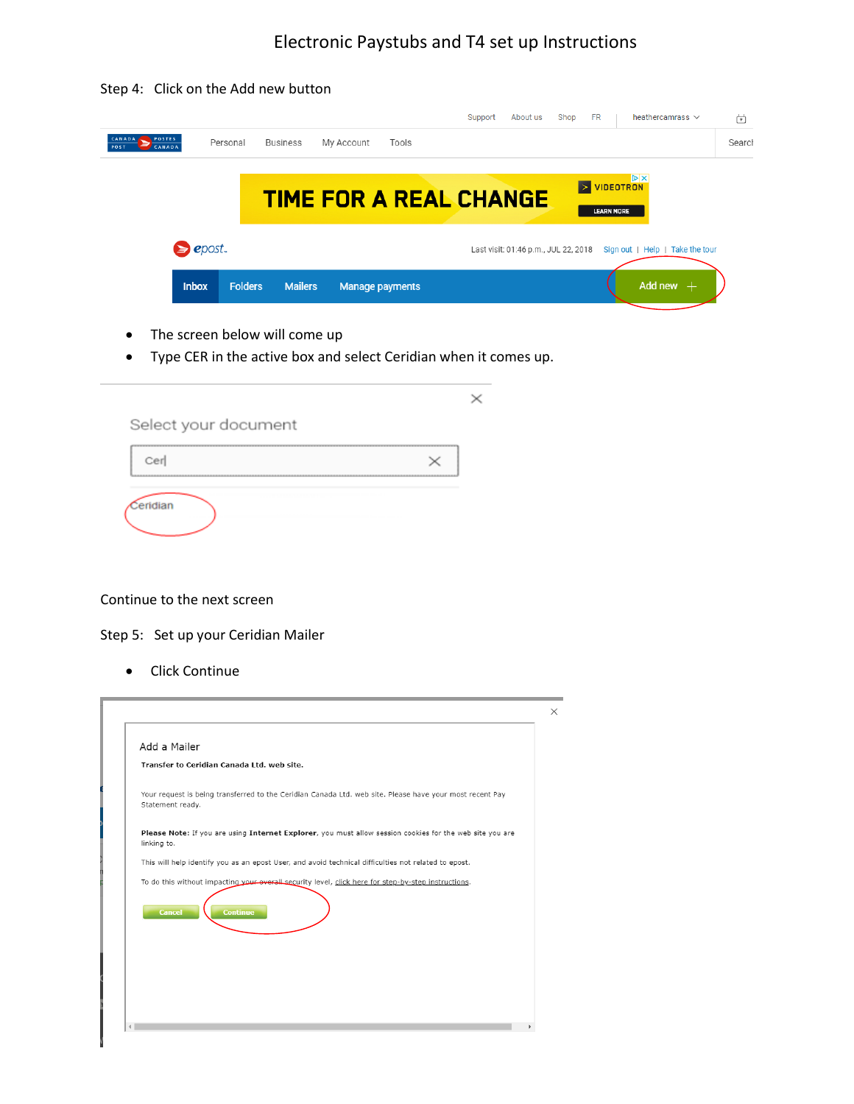## Electronic Paystubs and T4 set up Instructions

Step 4: Click on the Add new button

|                                                  |                |                 |                               |       | Support | About us                             | Shop                      | <b>FR</b>         | heather camrass $\vee$          | 茴      |
|--------------------------------------------------|----------------|-----------------|-------------------------------|-------|---------|--------------------------------------|---------------------------|-------------------|---------------------------------|--------|
| <b>POSTES</b><br><b>CANADA</b><br>POST<br>CANADA | Personal       | <b>Business</b> | My Account                    | Tools |         |                                      |                           |                   |                                 | Search |
|                                                  |                |                 |                               |       |         |                                      |                           |                   | VIDEOTRON                       |        |
|                                                  |                |                 | <b>TIME FOR A REAL CHANGE</b> |       |         |                                      | $\triangleright$ $\vdash$ | <b>LEARN MORE</b> |                                 |        |
|                                                  |                |                 |                               |       |         |                                      |                           |                   |                                 |        |
| $\geq$ epost.                                    |                |                 |                               |       |         | Last visit: 01:46 p.m., JUL 22, 2018 |                           |                   | Sign out   Help   Take the tour |        |
| <b>Inbox</b>                                     | <b>Folders</b> | <b>Mailers</b>  | <b>Manage payments</b>        |       |         |                                      |                           |                   | Add new $+$                     |        |
|                                                  |                |                 |                               |       |         |                                      |                           |                   |                                 |        |

- The screen below will come up
- Type CER in the active box and select Ceridian when it comes up.

| Select your document |  |
|----------------------|--|
| Cer                  |  |
| Ceridian             |  |

## Continue to the next screen

- Step 5: Set up your Ceridian Mailer
	- Click Continue

| Add a Mailer                               |                                                                                                          |
|--------------------------------------------|----------------------------------------------------------------------------------------------------------|
| Transfer to Ceridian Canada Ltd. web site. |                                                                                                          |
| Statement ready.                           | Your request is being transferred to the Ceridian Canada Ltd. web site. Please have your most recent Pay |
| linking to.                                | Please Note: If you are using Internet Explorer, you must allow session cookies for the web site you are |
|                                            | This will help identify you as an epost User, and avoid technical difficulties not related to epost.     |
|                                            | To do this without impacting your everall security level, click here for step-by-step instructions.      |
| <b>Continue</b><br><b>Cancel</b>           |                                                                                                          |
|                                            |                                                                                                          |
|                                            |                                                                                                          |
|                                            |                                                                                                          |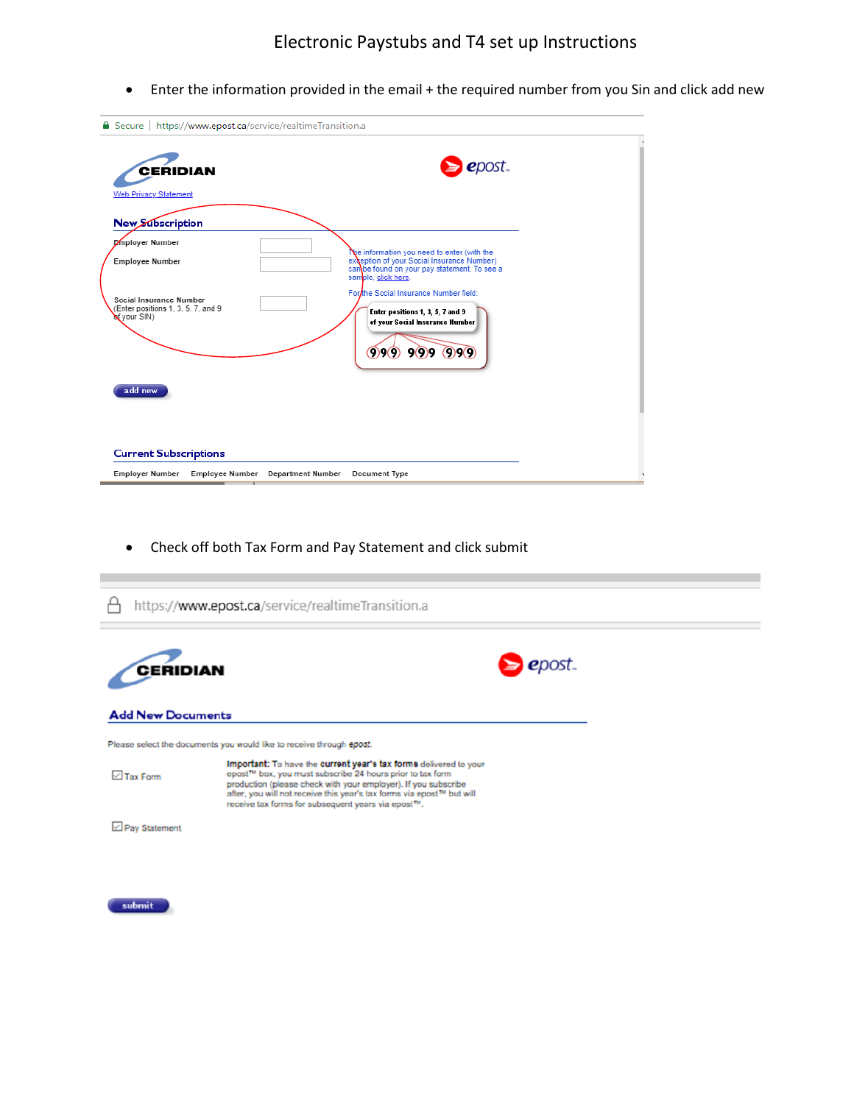• Enter the information provided in the email + the required number from you Sin and click add new

| Secure   https://www.epost.ca/service/realtimeTransition.a<br><b>CERIDIAN</b><br><b>Web Privacy Statement</b> |                                   | epost                                                                                                                                                           |  |
|---------------------------------------------------------------------------------------------------------------|-----------------------------------|-----------------------------------------------------------------------------------------------------------------------------------------------------------------|--|
| <b>New Subscription</b>                                                                                       |                                   |                                                                                                                                                                 |  |
| Employer Number<br>Employee Number                                                                            |                                   | Ne information you need to enter (with the<br>exception of your Social Insurance Number)<br>can be found on your pay statement. To see a<br>sample, click here. |  |
| Social Insurance Number<br>(Enter positions 1, 3, 5, 7, and 9<br>of your SIN)                                 |                                   | For the Social Insurance Number field:<br>Enter positions 1, 3, 5, 7 and 9<br>of your Social Insurance Number<br>9999999                                        |  |
| add new                                                                                                       |                                   |                                                                                                                                                                 |  |
| <b>Current Subscriptions</b>                                                                                  |                                   |                                                                                                                                                                 |  |
| <b>Employer Number</b>                                                                                        | Employee Number Department Number | Document Type                                                                                                                                                   |  |

• Check off both Tax Form and Pay Statement and click submit